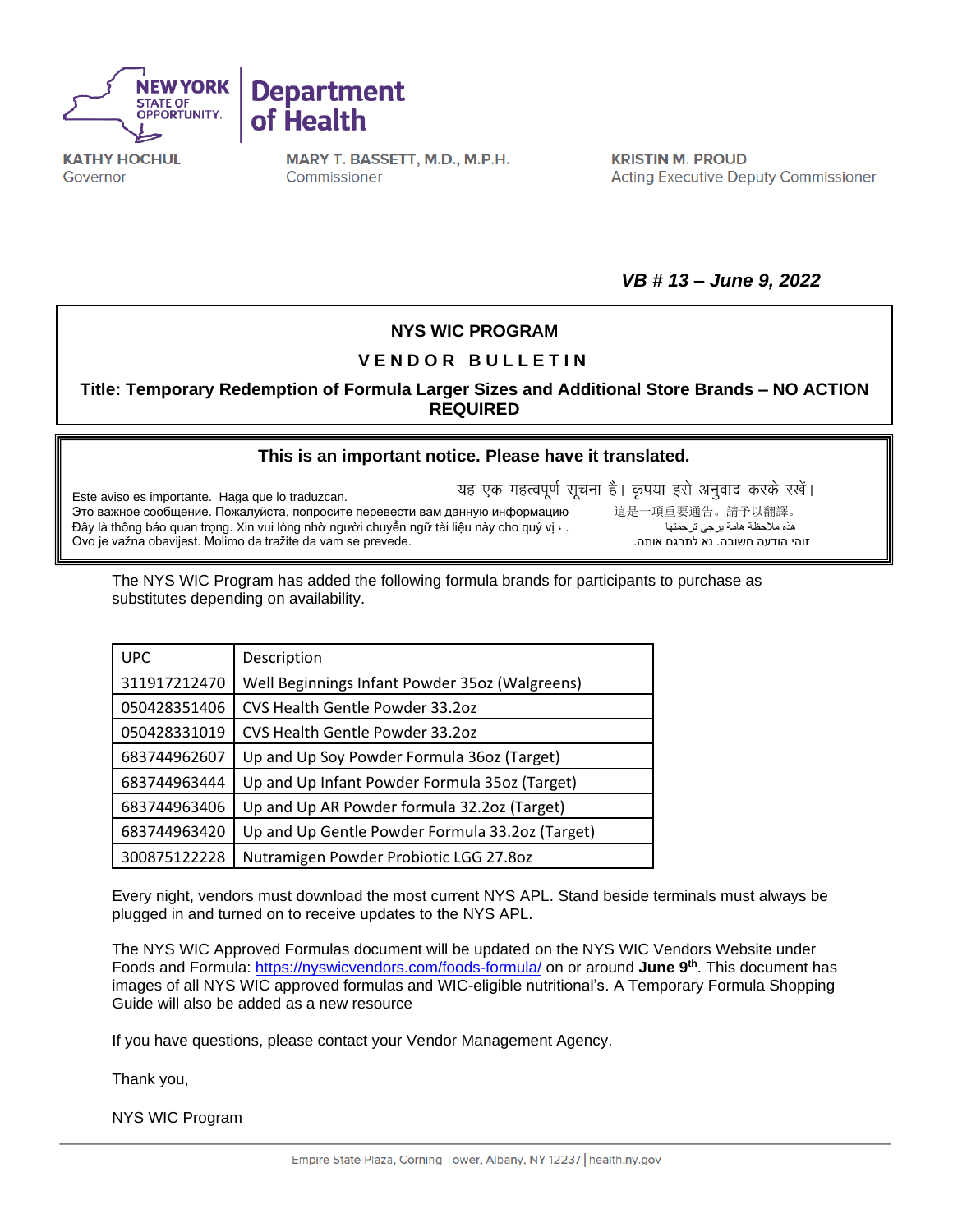



**KATHY HOCHUL** Governor

MARY T. BASSETT, M.D., M.P.H. Commissioner

**KRISTIN M. PROUD Acting Executive Deputy Commissioner** 

*VB # 13 – June 9, 2022*

## **NYS WIC PROGRAM**

## **V E N D O R B U L L E T I N**

**Title: Temporary Redemption of Formula Larger Sizes and Additional Store Brands – NO ACTION REQUIRED**

## **[This is an important notice. Please have it translated.](https://nysemail-my.sharepoint.com/personal/kierian_cochran_health_ny_gov/Documents/Downloads/ExportToExcel1116675%20-%202022-05-10T080246.734.xls?web=1)**

यह एक महत्वपूर्ण सूचना है। कृपया इसे अनुवाद करके रखें। Este aviso es importante. Haga que lo traduzcan. Это важное сообщение. Пожалуйста, попросите перевести вам данную информацию 這是一項重要通告。請予以翻譯。<br>ده ملاحظة مامة برجى ترجمتها هي السلاطة مامة برجى ترجمتها عليه السلاطة في المقابض عن الله عليه السلاطة في المقا Đây là thông báo quan trọng. Xin vui lòng nhờ người chuyển ngữ tài liệu này cho quý vị · . Ovo je važna obavijest. Molimo da tražite da vam se prevede..אותה לתרגם נא .חשובה הודעה זוהי

The NYS WIC Program has added the following formula brands for participants to purchase as substitutes depending on availability.

| <b>UPC</b>   | Description                                     |
|--------------|-------------------------------------------------|
| 311917212470 | Well Beginnings Infant Powder 35oz (Walgreens)  |
| 050428351406 | CVS Health Gentle Powder 33.2oz                 |
| 050428331019 | CVS Health Gentle Powder 33.202                 |
| 683744962607 | Up and Up Soy Powder Formula 36oz (Target)      |
| 683744963444 | Up and Up Infant Powder Formula 35oz (Target)   |
| 683744963406 | Up and Up AR Powder formula 32.2oz (Target)     |
| 683744963420 | Up and Up Gentle Powder Formula 33.2oz (Target) |
| 300875122228 | Nutramigen Powder Probiotic LGG 27.8oz          |

Every night, vendors must download the most current NYS APL. Stand beside terminals must always be plugged in and turned on to receive updates to the NYS APL.

The NYS WIC Approved Formulas document will be updated on the NYS WIC Vendors Website under Foods and Formula:<https://nyswicvendors.com/foods-formula/> on or around **June 9th** . This document has images of all NYS WIC approved formulas and WIC-eligible nutritional's. A Temporary Formula Shopping Guide will also be added as a new resource

If you have questions, please contact your Vendor Management Agency.

Thank you,

NYS WIC Program